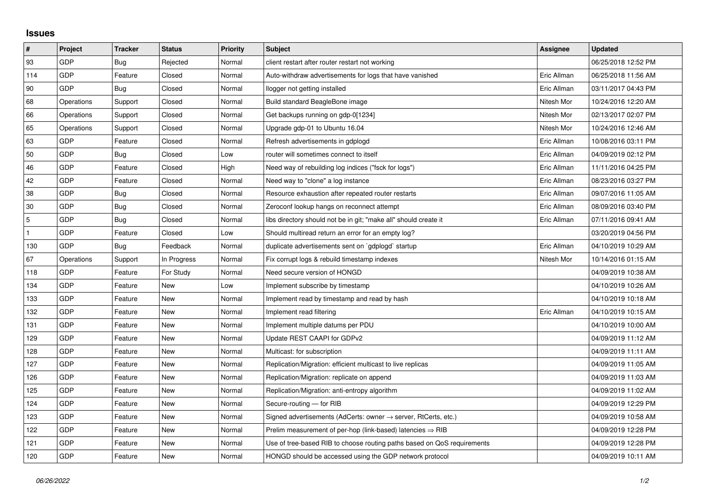## **Issues**

| $\pmb{\sharp}$ | Project    | <b>Tracker</b> | <b>Status</b> | <b>Priority</b> | <b>Subject</b>                                                             | Assignee    | <b>Updated</b>      |
|----------------|------------|----------------|---------------|-----------------|----------------------------------------------------------------------------|-------------|---------------------|
| 93             | GDP        | Bug            | Rejected      | Normal          | client restart after router restart not working                            |             | 06/25/2018 12:52 PM |
| 114            | <b>GDP</b> | Feature        | Closed        | Normal          | Auto-withdraw advertisements for logs that have vanished                   | Eric Allman | 06/25/2018 11:56 AM |
| 90             | GDP        | Bug            | Closed        | Normal          | llogger not getting installed                                              | Eric Allman | 03/11/2017 04:43 PM |
| 68             | Operations | Support        | Closed        | Normal          | Build standard BeagleBone image                                            | Nitesh Mor  | 10/24/2016 12:20 AM |
| 66             | Operations | Support        | Closed        | Normal          | Get backups running on gdp-0[1234]                                         | Nitesh Mor  | 02/13/2017 02:07 PM |
| 65             | Operations | Support        | Closed        | Normal          | Upgrade gdp-01 to Ubuntu 16.04                                             | Nitesh Mor  | 10/24/2016 12:46 AM |
| 63             | GDP        | Feature        | Closed        | Normal          | Refresh advertisements in gdplogd                                          | Eric Allman | 10/08/2016 03:11 PM |
| 50             | GDP        | Bug            | Closed        | Low             | router will sometimes connect to itself                                    | Eric Allman | 04/09/2019 02:12 PM |
| 46             | GDP        | Feature        | Closed        | High            | Need way of rebuilding log indices ("fsck for logs")                       | Eric Allman | 11/11/2016 04:25 PM |
| 42             | GDP        | Feature        | Closed        | Normal          | Need way to "clone" a log instance                                         | Eric Allman | 08/23/2016 03:27 PM |
| 38             | GDP        | <b>Bug</b>     | Closed        | Normal          | Resource exhaustion after repeated router restarts                         | Eric Allman | 09/07/2016 11:05 AM |
| 30             | GDP        | Bug            | Closed        | Normal          | Zeroconf lookup hangs on reconnect attempt                                 | Eric Allman | 08/09/2016 03:40 PM |
| 5              | GDP        | Bug            | Closed        | Normal          | libs directory should not be in git; "make all" should create it           | Eric Allman | 07/11/2016 09:41 AM |
|                | GDP        | Feature        | Closed        | Low             | Should multiread return an error for an empty log?                         |             | 03/20/2019 04:56 PM |
| 130            | GDP        | Bug            | Feedback      | Normal          | duplicate advertisements sent on `gdplogd` startup                         | Eric Allman | 04/10/2019 10:29 AM |
| 67             | Operations | Support        | In Progress   | Normal          | Fix corrupt logs & rebuild timestamp indexes                               | Nitesh Mor  | 10/14/2016 01:15 AM |
| 118            | GDP        | Feature        | For Study     | Normal          | Need secure version of HONGD                                               |             | 04/09/2019 10:38 AM |
| 134            | GDP        | Feature        | <b>New</b>    | Low             | Implement subscribe by timestamp                                           |             | 04/10/2019 10:26 AM |
| 133            | GDP        | Feature        | New           | Normal          | Implement read by timestamp and read by hash                               |             | 04/10/2019 10:18 AM |
| 132            | GDP        | Feature        | New           | Normal          | Implement read filtering                                                   | Eric Allman | 04/10/2019 10:15 AM |
| 131            | GDP        | Feature        | New           | Normal          | Implement multiple datums per PDU                                          |             | 04/10/2019 10:00 AM |
| 129            | GDP        | Feature        | <b>New</b>    | Normal          | Update REST CAAPI for GDPv2                                                |             | 04/09/2019 11:12 AM |
| 128            | GDP        | Feature        | New           | Normal          | Multicast: for subscription                                                |             | 04/09/2019 11:11 AM |
| 127            | GDP        | Feature        | New           | Normal          | Replication/Migration: efficient multicast to live replicas                |             | 04/09/2019 11:05 AM |
| 126            | GDP        | Feature        | New           | Normal          | Replication/Migration: replicate on append                                 |             | 04/09/2019 11:03 AM |
| 125            | GDP        | Feature        | New           | Normal          | Replication/Migration: anti-entropy algorithm                              |             | 04/09/2019 11:02 AM |
| 124            | GDP        | Feature        | <b>New</b>    | Normal          | Secure-routing - for RIB                                                   |             | 04/09/2019 12:29 PM |
| 123            | GDP        | Feature        | New           | Normal          | Signed advertisements (AdCerts: owner $\rightarrow$ server, RtCerts, etc.) |             | 04/09/2019 10:58 AM |
| 122            | GDP        | Feature        | New           | Normal          | Prelim measurement of per-hop (link-based) latencies $\Rightarrow$ RIB     |             | 04/09/2019 12:28 PM |
| 121            | GDP        | Feature        | New           | Normal          | Use of tree-based RIB to choose routing paths based on QoS requirements    |             | 04/09/2019 12:28 PM |
| 120            | GDP        | Feature        | New           | Normal          | HONGD should be accessed using the GDP network protocol                    |             | 04/09/2019 10:11 AM |